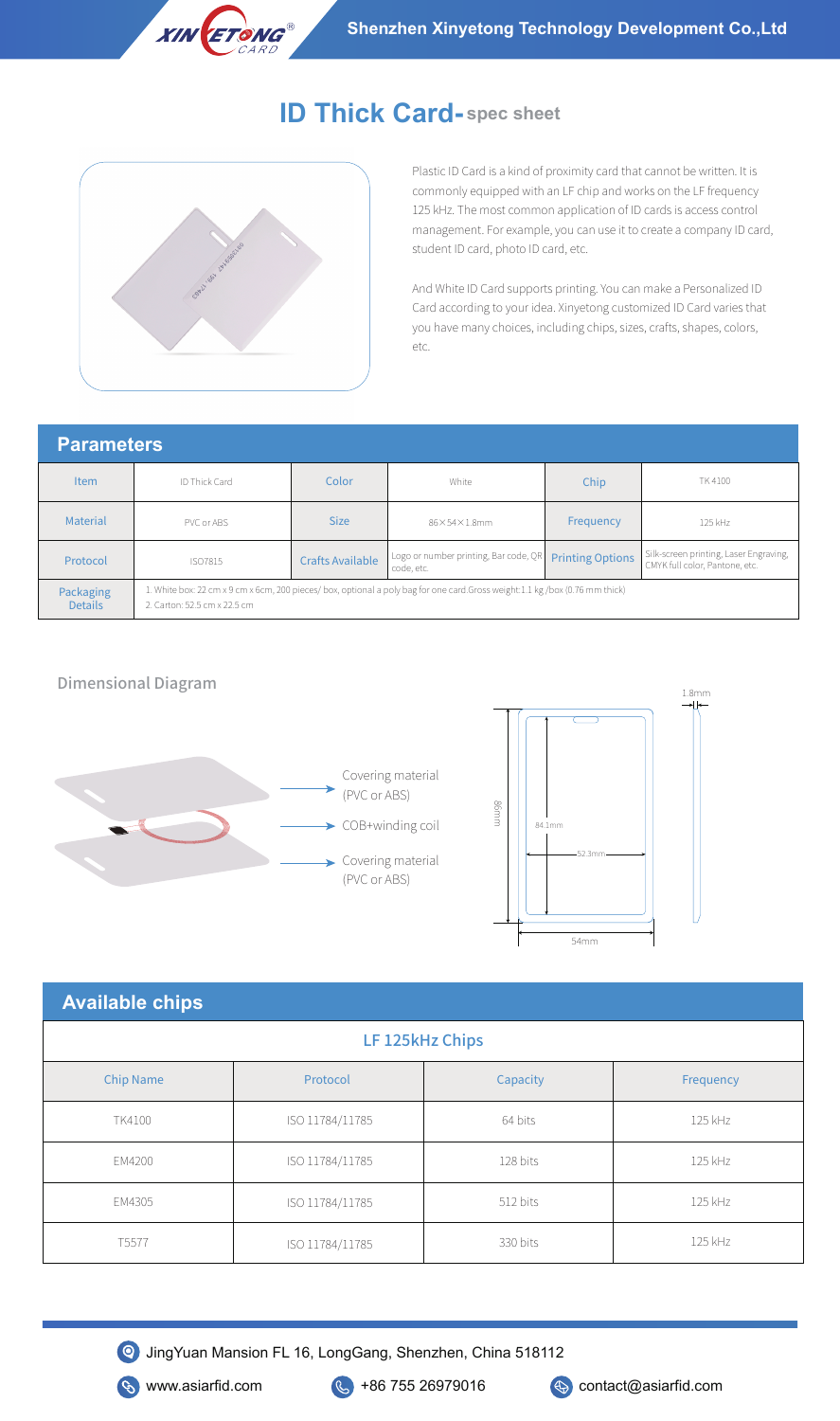

# **ID Thick Card- spec sheet**



**ETONG** 

**XIN** 

Plastic ID Card is a kind of proximity card that cannot be written. It is commonly equipped with an LF chip and works on the LF frequency 125 kHz. The most common application of ID cards is access control management. For example, you can use it to create a company ID card, student ID card, photo ID card, etc.

And White ID Card supports printing. You can make a Personalized ID Card according to your idea. Xinyetong customized ID Card varies that you have many choices, including chips, sizes, crafts, shapes, colors, etc.

# **Parameters**

| <b>Item</b>                 | ID Thick Card                                                                                                                                               | Color                   | White                                               | Chip                    | TK 4100                                                                  |
|-----------------------------|-------------------------------------------------------------------------------------------------------------------------------------------------------------|-------------------------|-----------------------------------------------------|-------------------------|--------------------------------------------------------------------------|
| Material                    | PVC or ABS                                                                                                                                                  | <b>Size</b>             | $86\times54\times1.8$ mm                            | Frequency               | 125 kHz                                                                  |
| Protocol                    | ISO7815                                                                                                                                                     | <b>Crafts Available</b> | Logo or number printing, Bar code, QR<br>code, etc. | <b>Printing Options</b> | Silk-screen printing, Laser Engraving,<br>CMYK full color, Pantone, etc. |
| Packaging<br><b>Details</b> | 1. White box: 22 cm x 9 cm x 6cm, 200 pieces/ box, optional a poly bag for one card.Gross weight:1.1 kg/box (0.76 mm thick)<br>2. Carton: 52.5 cm x 22.5 cm |                         |                                                     |                         |                                                                          |

#### Dimensional Diagram





| <b>Available chips</b> |                 |          |           |  |  |  |  |  |
|------------------------|-----------------|----------|-----------|--|--|--|--|--|
| LF 125kHz Chips        |                 |          |           |  |  |  |  |  |
| <b>Chip Name</b>       | Protocol        | Capacity | Frequency |  |  |  |  |  |
| TK4100                 | ISO 11784/11785 | 64 bits  | 125 kHz   |  |  |  |  |  |
| EM4200                 | ISO 11784/11785 | 128 bits | 125 kHz   |  |  |  |  |  |
| EM4305                 | ISO 11784/11785 | 512 bits | 125 kHz   |  |  |  |  |  |
| T <sub>5577</sub>      | ISO 11784/11785 | 330 bits | 125 kHz   |  |  |  |  |  |



JingYuan Mansion FL 16, LongGang, Shenzhen, China 518112